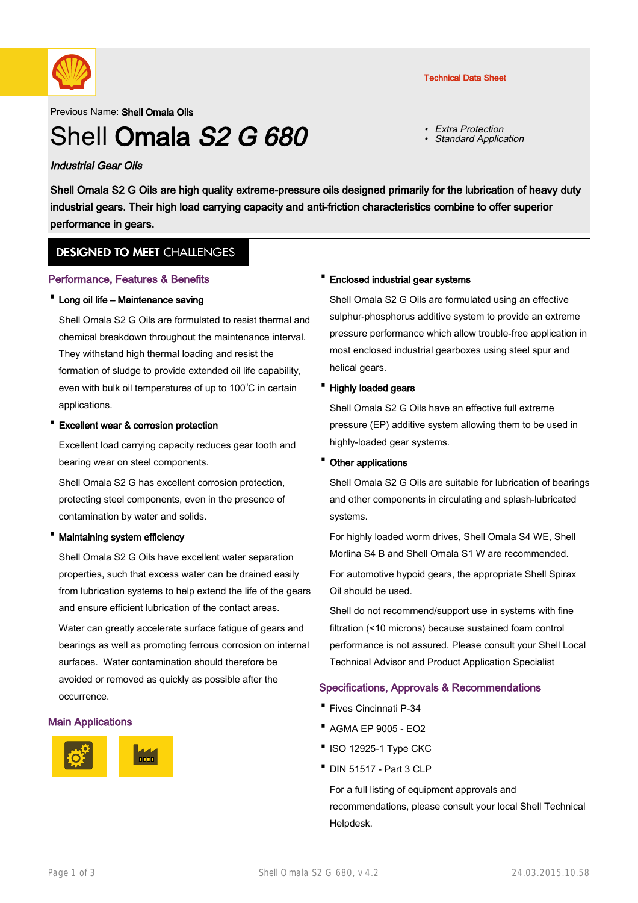

Previous Name: Shell Omala Oils

# Shell Omala S<sub>2</sub> G 680

#### Industrial Gear Oils

Shell Omala S2 G Oils are high quality extreme-pressure oils designed primarily for the lubrication of heavy duty industrial gears. Their high load carrying capacity and anti-friction characteristics combine to offer superior performance in gears.

### **DESIGNED TO MEET CHALLENGES**

#### Performance, Features & Benefits

#### · Long oil life – Maintenance saving

Shell Omala S2 G Oils are formulated to resist thermal and chemical breakdown throughout the maintenance interval. They withstand high thermal loading and resist the formation of sludge to provide extended oil life capability, even with bulk oil temperatures of up to  $100^{\circ}$ C in certain applications.

#### **Excellent wear & corrosion protection**

Excellent load carrying capacity reduces gear tooth and bearing wear on steel components.

Shell Omala S2 G has excellent corrosion protection, protecting steel components, even in the presence of contamination by water and solids.

#### · Maintaining system efficiency

Shell Omala S2 G Oils have excellent water separation properties, such that excess water can be drained easily from lubrication systems to help extend the life of the gears and ensure efficient lubrication of the contact areas. Water can greatly accelerate surface fatigue of gears and bearings as well as promoting ferrous corrosion on internal surfaces. Water contamination should therefore be avoided or removed as quickly as possible after the occurrence.

#### Main Applications



#### · Enclosed industrial gear systems

Shell Omala S2 G Oils are formulated using an effective sulphur-phosphorus additive system to provide an extreme pressure performance which allow trouble-free application in most enclosed industrial gearboxes using steel spur and helical gears.

#### · Highly loaded gears

Shell Omala S2 G Oils have an effective full extreme pressure (EP) additive system allowing them to be used in highly-loaded gear systems.

#### · Other applications

Shell Omala S2 G Oils are suitable for lubrication of bearings and other components in circulating and splash-lubricated systems.

For highly loaded worm drives, Shell Omala S4 WE, Shell Morlina S4 B and Shell Omala S1 W are recommended.

For automotive hypoid gears, the appropriate Shell Spirax Oil should be used.

Shell do not recommend/support use in systems with fine filtration (<10 microns) because sustained foam control performance is not assured. Please consult your Shell Local Technical Advisor and Product Application Specialist

#### Specifications, Approvals & Recommendations

- · Fives Cincinnati P-34
- · AGMA EP 9005 EO2
- ·ISO 12925-1 Type CKC
- · DIN 51517 Part 3 CLP

For a full listing of equipment approvals and recommendations, please consult your local Shell Technical Helpdesk.

#### Technical Data Sheet

• Extra Protection

Standard Application

•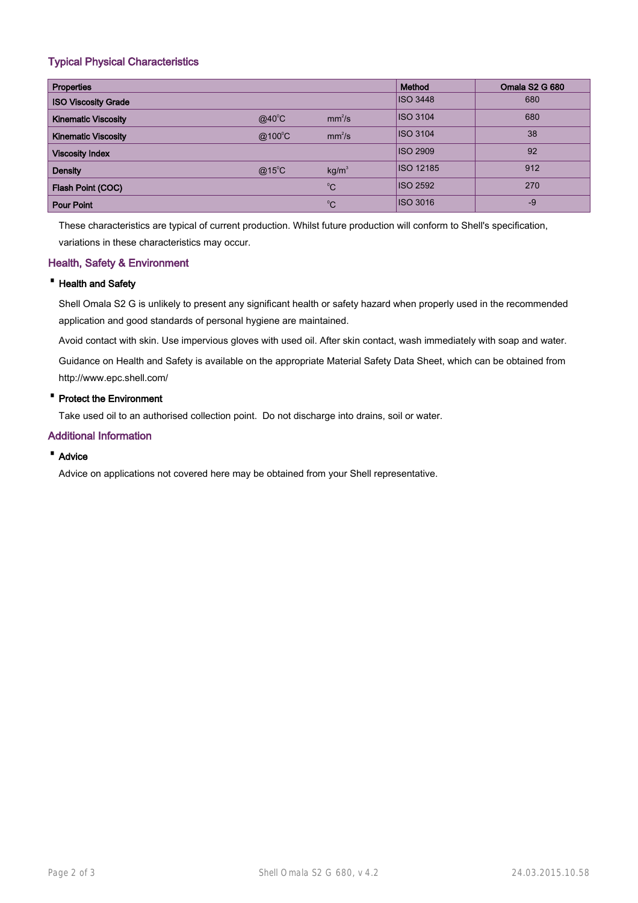#### Typical Physical Characteristics

| <b>Properties</b>          |                 |                    | Method           | <b>Omala S2 G 680</b> |
|----------------------------|-----------------|--------------------|------------------|-----------------------|
| <b>ISO Viscosity Grade</b> |                 |                    | <b>ISO 3448</b>  | 680                   |
| <b>Kinematic Viscosity</b> | $@40^{\circ}$ C | mm <sup>2</sup> /s | <b>ISO 3104</b>  | 680                   |
| <b>Kinematic Viscosity</b> | @100°C          | mm <sup>2</sup> /s | <b>ISO 3104</b>  | 38                    |
| <b>Viscosity Index</b>     |                 |                    | <b>ISO 2909</b>  | 92                    |
| <b>Density</b>             | $@15^{\circ}$ C | kg/m <sup>3</sup>  | <b>ISO 12185</b> | 912                   |
| Flash Point (COC)          |                 | $^{\circ}C$        | <b>ISO 2592</b>  | 270                   |
| <b>Pour Point</b>          |                 | $^{\circ}C$        | <b>ISO 3016</b>  | $-9$                  |

These characteristics are typical of current production. Whilst future production will conform to Shell's specification, variations in these characteristics may occur.

#### Health, Safety & Environment

#### · Health and Safety

Shell Omala S2 G is unlikely to present any significant health or safety hazard when properly used in the recommended application and good standards of personal hygiene are maintained.

Avoid contact with skin. Use impervious gloves with used oil. After skin contact, wash immediately with soap and water.

Guidance on Health and Safety is available on the appropriate Material Safety Data Sheet, which can be obtained from http://www.epc.shell.com/

#### · Protect the Environment

Take used oil to an authorised collection point. Do not discharge into drains, soil or water.

#### Additional Information

#### · Advice

Advice on applications not covered here may be obtained from your Shell representative.